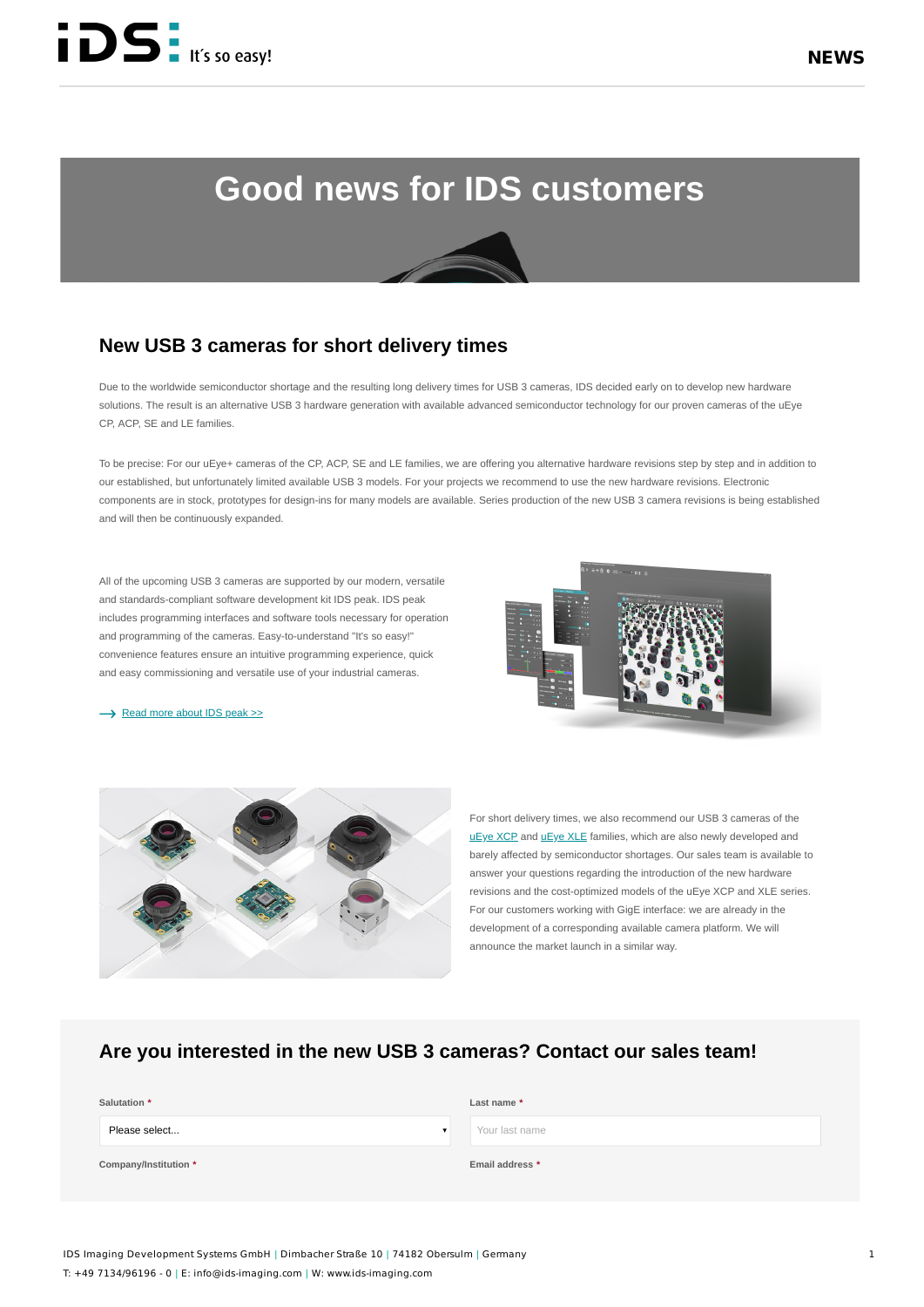# **Good news for IDS customers**

## **New USB 3 cameras for short delivery times**

Due to the worldwide semiconductor shortage and the resulting long delivery times for USB 3 cameras, IDS decided early on to develop new hardware solutions. The result is an alternative USB 3 hardware generation with available advanced semiconductor technology for our proven cameras of the uEye CP, ACP, SE and LE families.

To be precise: For our uEye+ cameras of the CP, ACP, SE and LE families, we are offering you alternative hardware revisions step by step and in addition to our established, but unfortunately limited available USB 3 models. For your projects we recommend to use the new hardware revisions. Electronic components are in stock, prototypes for design-ins for many models are available. Series production of the new USB 3 camera revisions is being established and will then be continuously expanded.

All of the upcoming USB 3 cameras are supported by our modern, versatile and standards-compliant software development kit IDS peak. IDS peak includes programming interfaces and software tools necessary for operation and programming of the cameras. Easy-to-understand "It's so easy!" convenience features ensure an intuitive programming experience, quick and easy commissioning and versatile use of your industrial cameras.

#### [Read more about IDS peak >>](https://en.ids-imaging.com/ids-peak.html)



For short delivery times, we also recommend our USB 3 cameras of the [uEye XCP](https://en.ids-imaging.com/store/products/cameras/ids-interface-group/usb-3/ids-family/xcp.html) and uEye XLE families, which are also newly developed and barely affected by semiconductor shortages. Our sales team is available to answer your questions regarding the introduction of the new hardware revisions and the cost-optimized models of the uEye XCP and XLE series. For our customers working with GigE interface: we are already in the development of a corresponding available camera platform. We will announce the market launch in a similar way.

### **Are you interested in the new USB 3 cameras? Contact our sales team!**

| Salutation *          | Last name *     |
|-----------------------|-----------------|
| Please select         | Your last name  |
| Company/Institution * | Email address * |